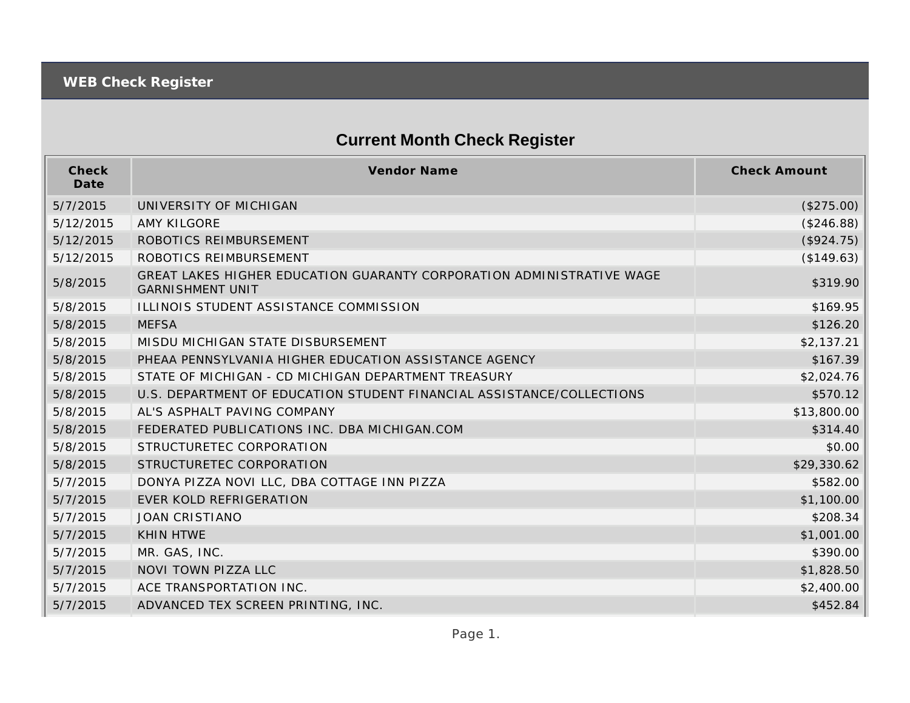## **Current Month Check Register**

| Check<br>Date | Vendor Name                                                                                      | <b>Check Amount</b> |
|---------------|--------------------------------------------------------------------------------------------------|---------------------|
| 5/7/2015      | UNIVERSITY OF MICHIGAN                                                                           | (\$275.00)          |
| 5/12/2015     | <b>AMY KILGORE</b>                                                                               | (\$246.88)          |
| 5/12/2015     | ROBOTICS REIMBURSEMENT                                                                           | (\$924.75)          |
| 5/12/2015     | ROBOTICS REIMBURSEMENT                                                                           | (\$149.63)          |
| 5/8/2015      | GREAT LAKES HIGHER EDUCATION GUARANTY CORPORATION ADMINISTRATIVE WAGE<br><b>GARNISHMENT UNIT</b> | \$319.90            |
| 5/8/2015      | ILLINOIS STUDENT ASSISTANCE COMMISSION                                                           | \$169.95            |
| 5/8/2015      | <b>MEFSA</b>                                                                                     | \$126.20            |
| 5/8/2015      | MISDU MICHIGAN STATE DISBURSEMENT                                                                | \$2,137.21          |
| 5/8/2015      | PHEAA PENNSYLVANIA HIGHER EDUCATION ASSISTANCE AGENCY                                            | \$167.39            |
| 5/8/2015      | STATE OF MICHIGAN - CD MICHIGAN DEPARTMENT TREASURY                                              | \$2,024.76          |
| 5/8/2015      | U.S. DEPARTMENT OF EDUCATION STUDENT FINANCIAL ASSISTANCE/COLLECTIONS                            | \$570.12            |
| 5/8/2015      | AL'S ASPHALT PAVING COMPANY                                                                      | \$13,800.00         |
| 5/8/2015      | FEDERATED PUBLICATIONS INC. DBA MICHIGAN.COM                                                     | \$314.40            |
| 5/8/2015      | STRUCTURETEC CORPORATION                                                                         | \$0.00              |
| 5/8/2015      | STRUCTURETEC CORPORATION                                                                         | \$29,330.62         |
| 5/7/2015      | DONYA PIZZA NOVI LLC, DBA COTTAGE INN PIZZA                                                      | \$582.00            |
| 5/7/2015      | <b>EVER KOLD REFRIGERATION</b>                                                                   | \$1,100.00          |
| 5/7/2015      | <b>JOAN CRISTIANO</b>                                                                            | \$208.34            |
| 5/7/2015      | <b>KHIN HTWE</b>                                                                                 | \$1,001.00          |
| 5/7/2015      | MR. GAS, INC.                                                                                    | \$390.00            |
| 5/7/2015      | NOVI TOWN PIZZA LLC                                                                              | \$1,828.50          |
| 5/7/2015      | ACE TRANSPORTATION INC.                                                                          | \$2,400.00          |
| 5/7/2015      | ADVANCED TEX SCREEN PRINTING, INC.                                                               | \$452.84            |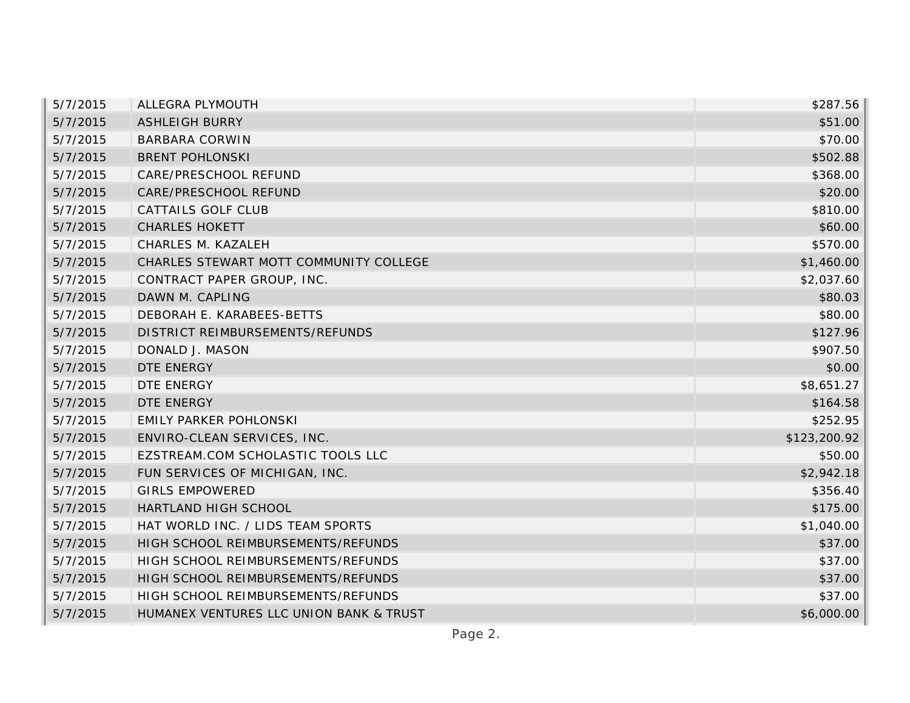| 5/7/2015 | ALLEGRA PLYMOUTH                        | \$287.56     |
|----------|-----------------------------------------|--------------|
| 5/7/2015 | <b>ASHLEIGH BURRY</b>                   | \$51.00      |
| 5/7/2015 | <b>BARBARA CORWIN</b>                   | \$70.00      |
| 5/7/2015 | <b>BRENT POHLONSKI</b>                  | \$502.88     |
| 5/7/2015 | CARE/PRESCHOOL REFUND                   | \$368.00     |
| 5/7/2015 | CARE/PRESCHOOL REFUND                   | \$20.00      |
| 5/7/2015 | CATTAILS GOLF CLUB                      | \$810.00     |
| 5/7/2015 | <b>CHARLES HOKETT</b>                   | \$60.00      |
| 5/7/2015 | CHARLES M. KAZALEH                      | \$570.00     |
| 5/7/2015 | CHARLES STEWART MOTT COMMUNITY COLLEGE  | \$1,460.00   |
| 5/7/2015 | CONTRACT PAPER GROUP, INC.              | \$2,037.60   |
| 5/7/2015 | DAWN M. CAPLING                         | \$80.03      |
| 5/7/2015 | DEBORAH E. KARABEES-BETTS               | \$80.00      |
| 5/7/2015 | DISTRICT REIMBURSEMENTS/REFUNDS         | \$127.96     |
| 5/7/2015 | DONALD J. MASON                         | \$907.50     |
| 5/7/2015 | DTE ENERGY                              | \$0.00       |
| 5/7/2015 | DTE ENERGY                              | \$8,651.27   |
| 5/7/2015 | DTE ENERGY                              | \$164.58     |
| 5/7/2015 | <b>EMILY PARKER POHLONSKI</b>           | \$252.95     |
| 5/7/2015 | ENVIRO-CLEAN SERVICES, INC.             | \$123,200.92 |
| 5/7/2015 | EZSTREAM.COM SCHOLASTIC TOOLS LLC       | \$50.00      |
| 5/7/2015 | FUN SERVICES OF MICHIGAN, INC.          | \$2,942.18   |
| 5/7/2015 | <b>GIRLS EMPOWERED</b>                  | \$356.40     |
| 5/7/2015 | HARTLAND HIGH SCHOOL                    | \$175.00     |
| 5/7/2015 | HAT WORLD INC. / LIDS TEAM SPORTS       | \$1,040.00   |
| 5/7/2015 | HIGH SCHOOL REIMBURSEMENTS/REFUNDS      | \$37.00      |
| 5/7/2015 | HIGH SCHOOL REIMBURSEMENTS/REFUNDS      | \$37.00      |
| 5/7/2015 | HIGH SCHOOL REIMBURSEMENTS/REFUNDS      | \$37.00      |
| 5/7/2015 | HIGH SCHOOL REIMBURSEMENTS/REFUNDS      | \$37.00      |
| 5/7/2015 | HUMANEX VENTURES LLC UNION BANK & TRUST | \$6,000.00   |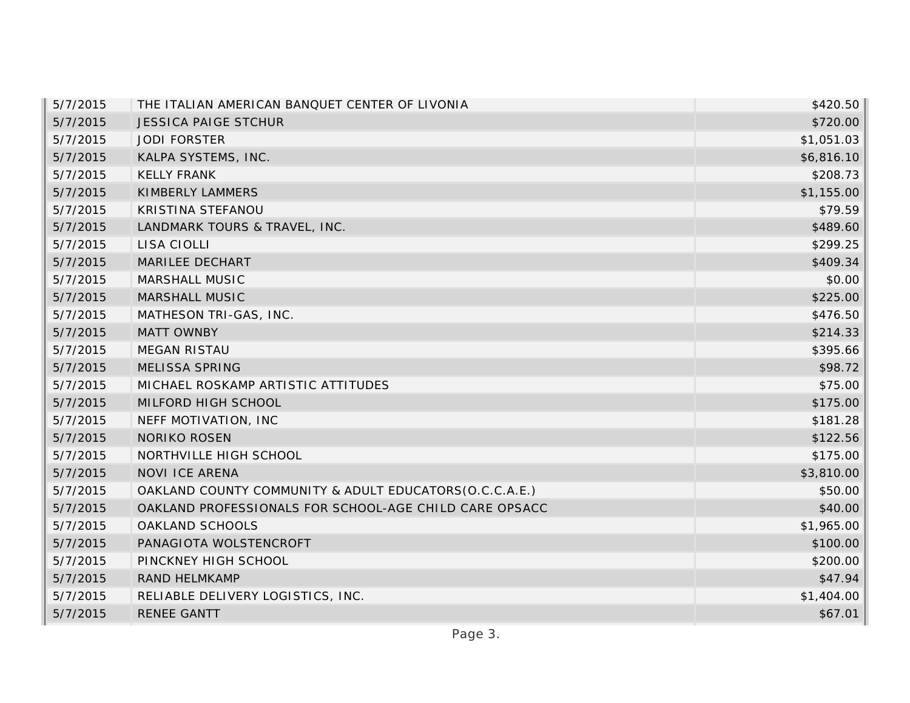| 5/7/2015 | THE ITALIAN AMERICAN BANQUET CENTER OF LIVONIA         | \$420.50   |
|----------|--------------------------------------------------------|------------|
| 5/7/2015 | <b>JESSICA PAIGE STCHUR</b>                            | \$720.00   |
| 5/7/2015 | <b>JODI FORSTER</b>                                    | \$1,051.03 |
| 5/7/2015 | KALPA SYSTEMS, INC.                                    | \$6,816.10 |
| 5/7/2015 | <b>KELLY FRANK</b>                                     | \$208.73   |
| 5/7/2015 | KIMBERLY LAMMERS                                       | \$1,155.00 |
| 5/7/2015 | KRISTINA STEFANOU                                      | \$79.59    |
| 5/7/2015 | LANDMARK TOURS & TRAVEL, INC.                          | \$489.60   |
| 5/7/2015 | LISA CIOLLI                                            | \$299.25   |
| 5/7/2015 | MARILEE DECHART                                        | \$409.34   |
| 5/7/2015 | MARSHALL MUSIC                                         | \$0.00     |
| 5/7/2015 | MARSHALL MUSIC                                         | \$225.00   |
| 5/7/2015 | MATHESON TRI-GAS, INC.                                 | \$476.50   |
| 5/7/2015 | <b>MATT OWNBY</b>                                      | \$214.33   |
| 5/7/2015 | <b>MEGAN RISTAU</b>                                    | \$395.66   |
| 5/7/2015 | MELISSA SPRING                                         | \$98.72    |
| 5/7/2015 | MICHAEL ROSKAMP ARTISTIC ATTITUDES                     | \$75.00    |
| 5/7/2015 | MILFORD HIGH SCHOOL                                    | \$175.00   |
| 5/7/2015 | NEFF MOTIVATION, INC                                   | \$181.28   |
| 5/7/2015 | <b>NORIKO ROSEN</b>                                    | \$122.56   |
| 5/7/2015 | NORTHVILLE HIGH SCHOOL                                 | \$175.00   |
| 5/7/2015 | NOVI ICE ARENA                                         | \$3,810.00 |
| 5/7/2015 | OAKLAND COUNTY COMMUNITY & ADULT EDUCATORS(O.C.C.A.E.) | \$50.00    |
| 5/7/2015 | OAKLAND PROFESSIONALS FOR SCHOOL-AGE CHILD CARE OPSACC | \$40.00    |
| 5/7/2015 | OAKLAND SCHOOLS                                        | \$1,965.00 |
| 5/7/2015 | PANAGIOTA WOLSTENCROFT                                 | \$100.00   |
| 5/7/2015 | PINCKNEY HIGH SCHOOL                                   | \$200.00   |
| 5/7/2015 | RAND HELMKAMP                                          | \$47.94    |
| 5/7/2015 | RELIABLE DELIVERY LOGISTICS, INC.                      | \$1,404.00 |
| 5/7/2015 | <b>RENEE GANTT</b>                                     | \$67.01    |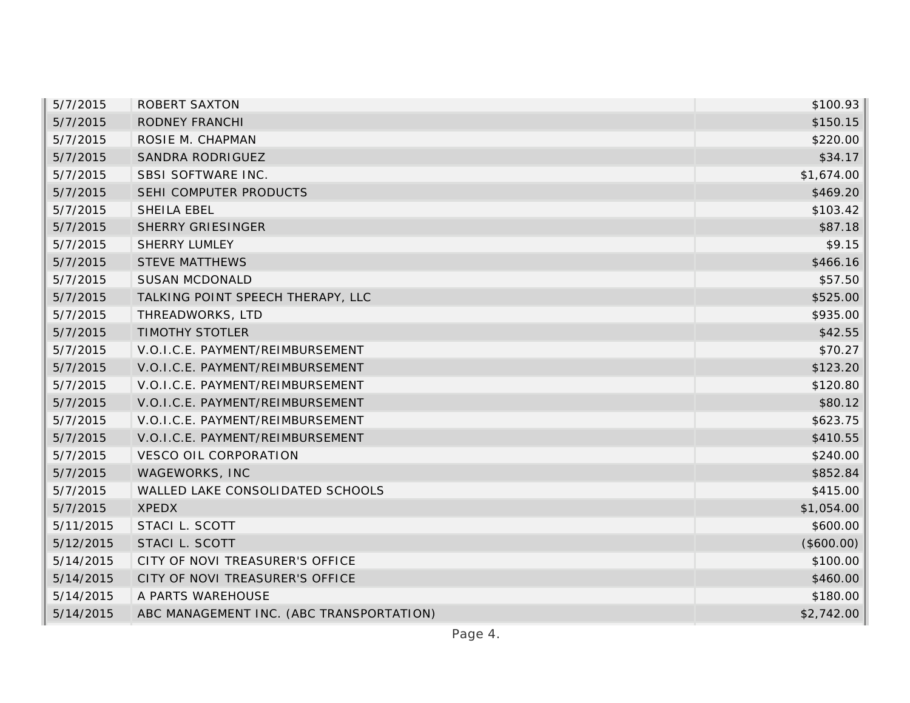| 5/7/2015  | <b>ROBERT SAXTON</b>                     | \$100.93   |
|-----------|------------------------------------------|------------|
| 5/7/2015  | RODNEY FRANCHI                           | \$150.15   |
| 5/7/2015  | ROSIE M. CHAPMAN                         | \$220.00   |
| 5/7/2015  | SANDRA RODRIGUEZ                         | \$34.17    |
| 5/7/2015  | SBSI SOFTWARE INC.                       | \$1,674.00 |
| 5/7/2015  | SEHI COMPUTER PRODUCTS                   | \$469.20   |
| 5/7/2015  | SHEILA EBEL                              | \$103.42   |
| 5/7/2015  | <b>SHERRY GRIESINGER</b>                 | \$87.18    |
| 5/7/2015  | <b>SHERRY LUMLEY</b>                     | \$9.15     |
| 5/7/2015  | <b>STEVE MATTHEWS</b>                    | \$466.16   |
| 5/7/2015  | <b>SUSAN MCDONALD</b>                    | \$57.50    |
| 5/7/2015  | TALKING POINT SPEECH THERAPY, LLC        | \$525.00   |
| 5/7/2015  | THREADWORKS, LTD                         | \$935.00   |
| 5/7/2015  | <b>TIMOTHY STOTLER</b>                   | \$42.55    |
| 5/7/2015  | V.O.I.C.E. PAYMENT/REIMBURSEMENT         | \$70.27    |
| 5/7/2015  | V.O.I.C.E. PAYMENT/REIMBURSEMENT         | \$123.20   |
| 5/7/2015  | V.O.I.C.E. PAYMENT/REIMBURSEMENT         | \$120.80   |
| 5/7/2015  | V.O.I.C.E. PAYMENT/REIMBURSEMENT         | \$80.12    |
| 5/7/2015  | V.O.I.C.E. PAYMENT/REIMBURSEMENT         | \$623.75   |
| 5/7/2015  | V.O.I.C.E. PAYMENT/REIMBURSEMENT         | \$410.55   |
| 5/7/2015  | <b>VESCO OIL CORPORATION</b>             | \$240.00   |
| 5/7/2015  | WAGEWORKS, INC                           | \$852.84   |
| 5/7/2015  | WALLED LAKE CONSOLIDATED SCHOOLS         | \$415.00   |
| 5/7/2015  | <b>XPEDX</b>                             | \$1,054.00 |
| 5/11/2015 | STACI L. SCOTT                           | \$600.00   |
| 5/12/2015 | STACI L. SCOTT                           | (\$600.00) |
| 5/14/2015 | CITY OF NOVI TREASURER'S OFFICE          | \$100.00   |
| 5/14/2015 | CITY OF NOVI TREASURER'S OFFICE          | \$460.00   |
| 5/14/2015 | A PARTS WAREHOUSE                        | \$180.00   |
| 5/14/2015 | ABC MANAGEMENT INC. (ABC TRANSPORTATION) | \$2,742.00 |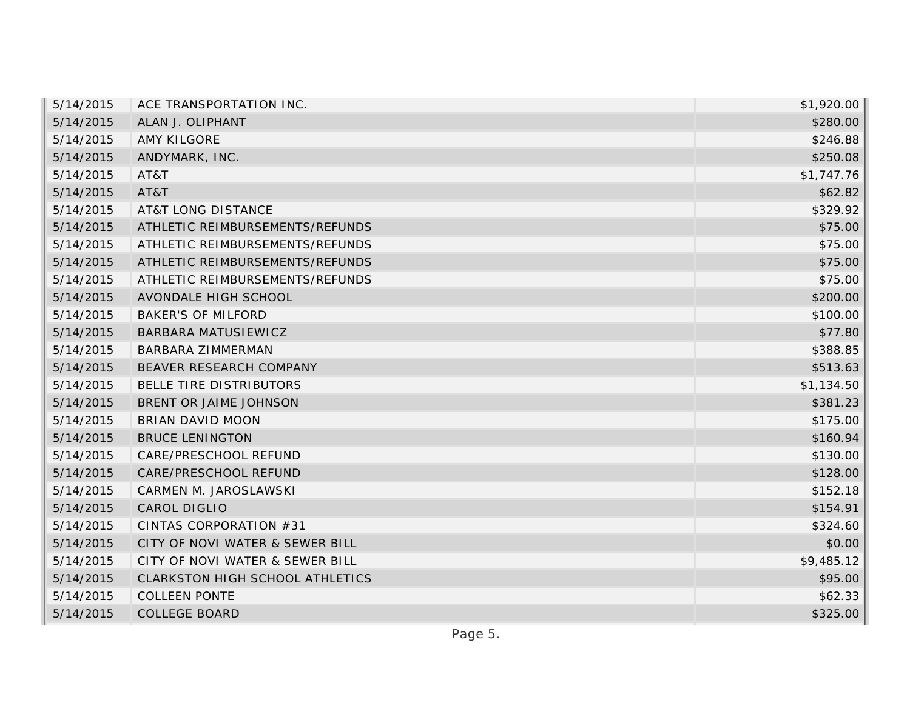| \$1,920.00 |
|------------|
| \$280.00   |
| \$246.88   |
| \$250.08   |
| \$1,747.76 |
| \$62.82    |
| \$329.92   |
| \$75.00    |
| \$75.00    |
| \$75.00    |
| \$75.00    |
| \$200.00   |
| \$100.00   |
| \$77.80    |
| \$388.85   |
| \$513.63   |
| \$1,134.50 |
| \$381.23   |
| \$175.00   |
| \$160.94   |
| \$130.00   |
| \$128.00   |
| \$152.18   |
| \$154.91   |
| \$324.60   |
| \$0.00     |
| \$9,485.12 |
| \$95.00    |
| \$62.33    |
| \$325.00   |
|            |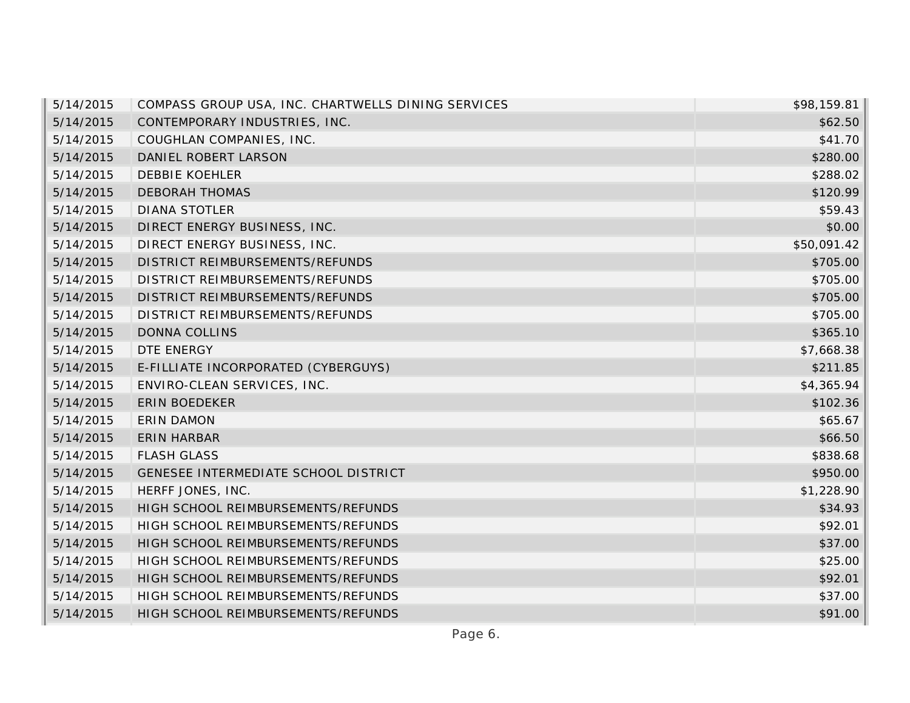| 5/14/2015 | COMPASS GROUP USA, INC. CHARTWELLS DINING SERVICES | \$98,159.81 |
|-----------|----------------------------------------------------|-------------|
| 5/14/2015 | CONTEMPORARY INDUSTRIES, INC.                      | \$62.50     |
| 5/14/2015 | COUGHLAN COMPANIES, INC.                           | \$41.70     |
| 5/14/2015 | DANIEL ROBERT LARSON                               | \$280.00    |
| 5/14/2015 | <b>DEBBIE KOEHLER</b>                              | \$288.02    |
| 5/14/2015 | <b>DEBORAH THOMAS</b>                              | \$120.99    |
| 5/14/2015 | <b>DIANA STOTLER</b>                               | \$59.43     |
| 5/14/2015 | DIRECT ENERGY BUSINESS, INC.                       | \$0.00      |
| 5/14/2015 | DIRECT ENERGY BUSINESS, INC.                       | \$50,091.42 |
| 5/14/2015 | DISTRICT REIMBURSEMENTS/REFUNDS                    | \$705.00    |
| 5/14/2015 | DISTRICT REIMBURSEMENTS/REFUNDS                    | \$705.00    |
| 5/14/2015 | DISTRICT REIMBURSEMENTS/REFUNDS                    | \$705.00    |
| 5/14/2015 | DISTRICT REIMBURSEMENTS/REFUNDS                    | \$705.00    |
| 5/14/2015 | <b>DONNA COLLINS</b>                               | \$365.10    |
| 5/14/2015 | DTE ENERGY                                         | \$7,668.38  |
| 5/14/2015 | E-FILLIATE INCORPORATED (CYBERGUYS)                | \$211.85    |
| 5/14/2015 | ENVIRO-CLEAN SERVICES, INC.                        | \$4,365.94  |
| 5/14/2015 | <b>ERIN BOEDEKER</b>                               | \$102.36    |
| 5/14/2015 | <b>ERIN DAMON</b>                                  | \$65.67     |
| 5/14/2015 | ERIN HARBAR                                        | \$66.50     |
| 5/14/2015 | <b>FLASH GLASS</b>                                 | \$838.68    |
| 5/14/2015 | GENESEE INTERMEDIATE SCHOOL DISTRICT               | \$950.00    |
| 5/14/2015 | HERFF JONES, INC.                                  | \$1,228.90  |
| 5/14/2015 | HIGH SCHOOL REIMBURSEMENTS/REFUNDS                 | \$34.93     |
| 5/14/2015 | HIGH SCHOOL REIMBURSEMENTS/REFUNDS                 | \$92.01     |
| 5/14/2015 | HIGH SCHOOL REIMBURSEMENTS/REFUNDS                 | \$37.00     |
| 5/14/2015 | HIGH SCHOOL REIMBURSEMENTS/REFUNDS                 | \$25.00     |
| 5/14/2015 | HIGH SCHOOL REIMBURSEMENTS/REFUNDS                 | \$92.01     |
| 5/14/2015 | HIGH SCHOOL REIMBURSEMENTS/REFUNDS                 | \$37.00     |
| 5/14/2015 | HIGH SCHOOL REIMBURSEMENTS/REFUNDS                 | \$91.00     |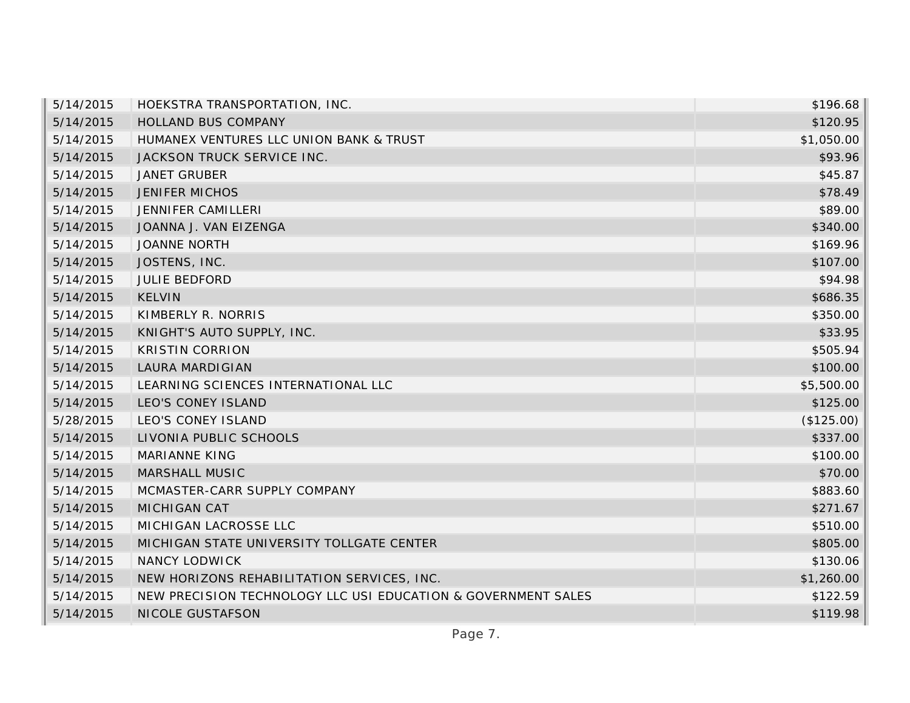| 5/14/2015 | HOEKSTRA TRANSPORTATION, INC.                                 | \$196.68   |
|-----------|---------------------------------------------------------------|------------|
| 5/14/2015 | HOLLAND BUS COMPANY                                           | \$120.95   |
| 5/14/2015 | HUMANEX VENTURES LLC UNION BANK & TRUST                       | \$1,050.00 |
| 5/14/2015 | JACKSON TRUCK SERVICE INC.                                    | \$93.96    |
| 5/14/2015 | <b>JANET GRUBER</b>                                           | \$45.87    |
| 5/14/2015 | <b>JENIFER MICHOS</b>                                         | \$78.49    |
| 5/14/2015 | JENNIFER CAMILLERI                                            | \$89.00    |
| 5/14/2015 | JOANNA J. VAN EIZENGA                                         | \$340.00   |
| 5/14/2015 | <b>JOANNE NORTH</b>                                           | \$169.96   |
| 5/14/2015 | JOSTENS, INC.                                                 | \$107.00   |
| 5/14/2015 | <b>JULIE BEDFORD</b>                                          | \$94.98    |
| 5/14/2015 | <b>KELVIN</b>                                                 | \$686.35   |
| 5/14/2015 | KIMBERLY R. NORRIS                                            | \$350.00   |
| 5/14/2015 | KNIGHT'S AUTO SUPPLY, INC.                                    | \$33.95    |
| 5/14/2015 | <b>KRISTIN CORRION</b>                                        | \$505.94   |
| 5/14/2015 | LAURA MARDIGIAN                                               | \$100.00   |
| 5/14/2015 | LEARNING SCIENCES INTERNATIONAL LLC                           | \$5,500.00 |
| 5/14/2015 | LEO'S CONEY ISLAND                                            | \$125.00   |
| 5/28/2015 | LEO'S CONEY ISLAND                                            | (\$125.00) |
| 5/14/2015 | LIVONIA PUBLIC SCHOOLS                                        | \$337.00   |
| 5/14/2015 | <b>MARIANNE KING</b>                                          | \$100.00   |
| 5/14/2015 | MARSHALL MUSIC                                                | \$70.00    |
| 5/14/2015 | MCMASTER-CARR SUPPLY COMPANY                                  | \$883.60   |
| 5/14/2015 | MICHIGAN CAT                                                  | \$271.67   |
| 5/14/2015 | MICHIGAN LACROSSE LLC                                         | \$510.00   |
| 5/14/2015 | MICHIGAN STATE UNIVERSITY TOLLGATE CENTER                     | \$805.00   |
| 5/14/2015 | <b>NANCY LODWICK</b>                                          | \$130.06   |
| 5/14/2015 | NEW HORIZONS REHABILITATION SERVICES, INC.                    | \$1,260.00 |
| 5/14/2015 | NEW PRECISION TECHNOLOGY LLC USI EDUCATION & GOVERNMENT SALES | \$122.59   |
| 5/14/2015 | NICOLE GUSTAFSON                                              | \$119.98   |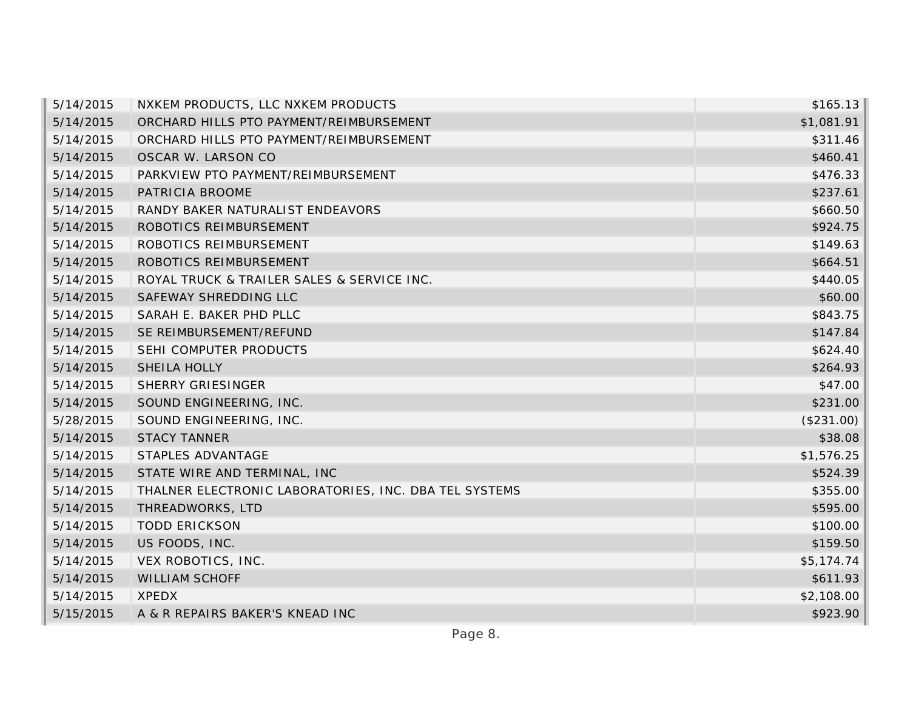| 5/14/2015 | NXKEM PRODUCTS, LLC NXKEM PRODUCTS                    | \$165.13   |
|-----------|-------------------------------------------------------|------------|
| 5/14/2015 | ORCHARD HILLS PTO PAYMENT/REIMBURSEMENT               | \$1,081.91 |
| 5/14/2015 | ORCHARD HILLS PTO PAYMENT/REIMBURSEMENT               | \$311.46   |
| 5/14/2015 | OSCAR W. LARSON CO                                    | \$460.41   |
| 5/14/2015 | PARKVIEW PTO PAYMENT/REIMBURSEMENT                    | \$476.33   |
| 5/14/2015 | PATRICIA BROOME                                       | \$237.61   |
| 5/14/2015 | RANDY BAKER NATURALIST ENDEAVORS                      | \$660.50   |
| 5/14/2015 | ROBOTICS REIMBURSEMENT                                | \$924.75   |
| 5/14/2015 | ROBOTICS REIMBURSEMENT                                | \$149.63   |
| 5/14/2015 | ROBOTICS REIMBURSEMENT                                | \$664.51   |
| 5/14/2015 | ROYAL TRUCK & TRAILER SALES & SERVICE INC.            | \$440.05   |
| 5/14/2015 | SAFEWAY SHREDDING LLC                                 | \$60.00    |
| 5/14/2015 | SARAH E. BAKER PHD PLLC                               | \$843.75   |
| 5/14/2015 | SE REIMBURSEMENT/REFUND                               | \$147.84   |
| 5/14/2015 | SEHI COMPUTER PRODUCTS                                | \$624.40   |
| 5/14/2015 | SHEILA HOLLY                                          | \$264.93   |
| 5/14/2015 | <b>SHERRY GRIESINGER</b>                              | \$47.00    |
| 5/14/2015 | SOUND ENGINEERING, INC.                               | \$231.00   |
| 5/28/2015 | SOUND ENGINEERING, INC.                               | (\$231.00) |
| 5/14/2015 | <b>STACY TANNER</b>                                   | \$38.08    |
| 5/14/2015 | STAPLES ADVANTAGE                                     | \$1,576.25 |
| 5/14/2015 | STATE WIRE AND TERMINAL, INC                          | \$524.39   |
| 5/14/2015 | THALNER ELECTRONIC LABORATORIES, INC. DBA TEL SYSTEMS | \$355.00   |
| 5/14/2015 | THREADWORKS, LTD                                      | \$595.00   |
| 5/14/2015 | <b>TODD ERICKSON</b>                                  | \$100.00   |
| 5/14/2015 | US FOODS, INC.                                        | \$159.50   |
| 5/14/2015 | VEX ROBOTICS, INC.                                    | \$5,174.74 |
| 5/14/2015 | <b>WILLIAM SCHOFF</b>                                 | \$611.93   |
| 5/14/2015 | XPEDX                                                 | \$2,108.00 |
| 5/15/2015 | A & R REPAIRS BAKER'S KNEAD INC                       | \$923.90   |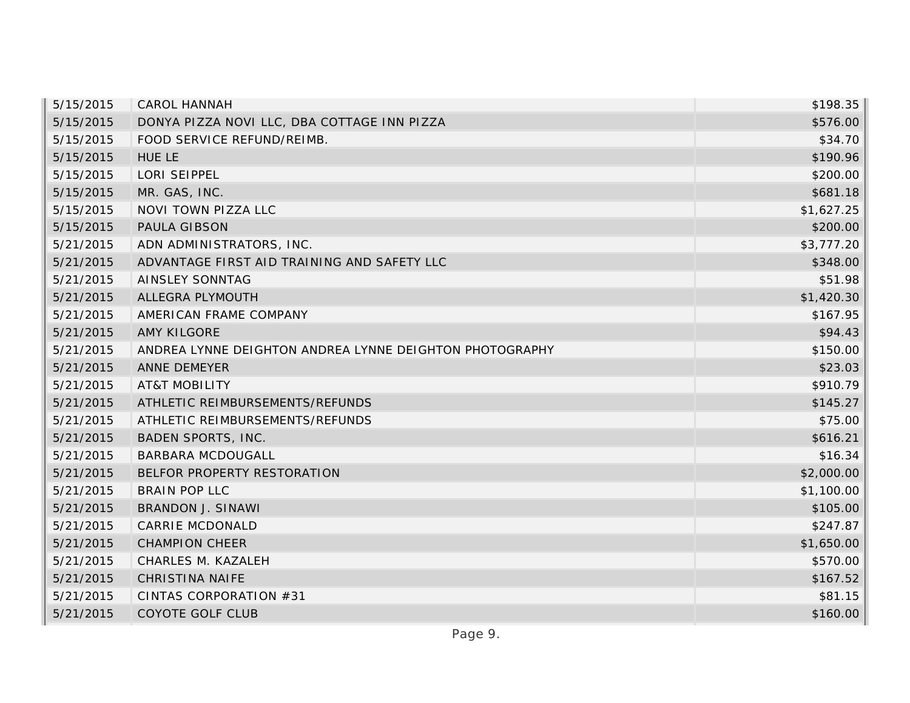| 5/15/2015 | <b>CAROL HANNAH</b>                                     | \$198.35   |
|-----------|---------------------------------------------------------|------------|
| 5/15/2015 | DONYA PIZZA NOVI LLC, DBA COTTAGE INN PIZZA             | \$576.00   |
| 5/15/2015 | FOOD SERVICE REFUND/REIMB.                              | \$34.70    |
| 5/15/2015 | <b>HUE LE</b>                                           | \$190.96   |
| 5/15/2015 | LORI SEIPPEL                                            | \$200.00   |
| 5/15/2015 | MR. GAS, INC.                                           | \$681.18   |
| 5/15/2015 | NOVI TOWN PIZZA LLC                                     | \$1,627.25 |
| 5/15/2015 | PAULA GIBSON                                            | \$200.00   |
| 5/21/2015 | ADN ADMINISTRATORS, INC.                                | \$3,777.20 |
| 5/21/2015 | ADVANTAGE FIRST AID TRAINING AND SAFETY LLC             | \$348.00   |
| 5/21/2015 | <b>AINSLEY SONNTAG</b>                                  | \$51.98    |
| 5/21/2015 | ALLEGRA PLYMOUTH                                        | \$1,420.30 |
| 5/21/2015 | AMERICAN FRAME COMPANY                                  | \$167.95   |
| 5/21/2015 | <b>AMY KILGORE</b>                                      | \$94.43    |
| 5/21/2015 | ANDREA LYNNE DEIGHTON ANDREA LYNNE DEIGHTON PHOTOGRAPHY | \$150.00   |
| 5/21/2015 | ANNE DEMEYER                                            | \$23.03    |
| 5/21/2015 | <b>AT&amp;T MOBILITY</b>                                | \$910.79   |
| 5/21/2015 | ATHLETIC REIMBURSEMENTS/REFUNDS                         | \$145.27   |
| 5/21/2015 | ATHLETIC REIMBURSEMENTS/REFUNDS                         | \$75.00    |
| 5/21/2015 | <b>BADEN SPORTS, INC.</b>                               | \$616.21   |
| 5/21/2015 | <b>BARBARA MCDOUGALL</b>                                | \$16.34    |
| 5/21/2015 | BELFOR PROPERTY RESTORATION                             | \$2,000.00 |
| 5/21/2015 | <b>BRAIN POP LLC</b>                                    | \$1,100.00 |
| 5/21/2015 | <b>BRANDON J. SINAWI</b>                                | \$105.00   |
| 5/21/2015 | CARRIE MCDONALD                                         | \$247.87   |
| 5/21/2015 | <b>CHAMPION CHEER</b>                                   | \$1,650.00 |
| 5/21/2015 | CHARLES M. KAZALEH                                      | \$570.00   |
| 5/21/2015 | <b>CHRISTINA NAIFE</b>                                  | \$167.52   |
| 5/21/2015 | CINTAS CORPORATION #31                                  | \$81.15    |
| 5/21/2015 | COYOTE GOLF CLUB                                        | \$160.00   |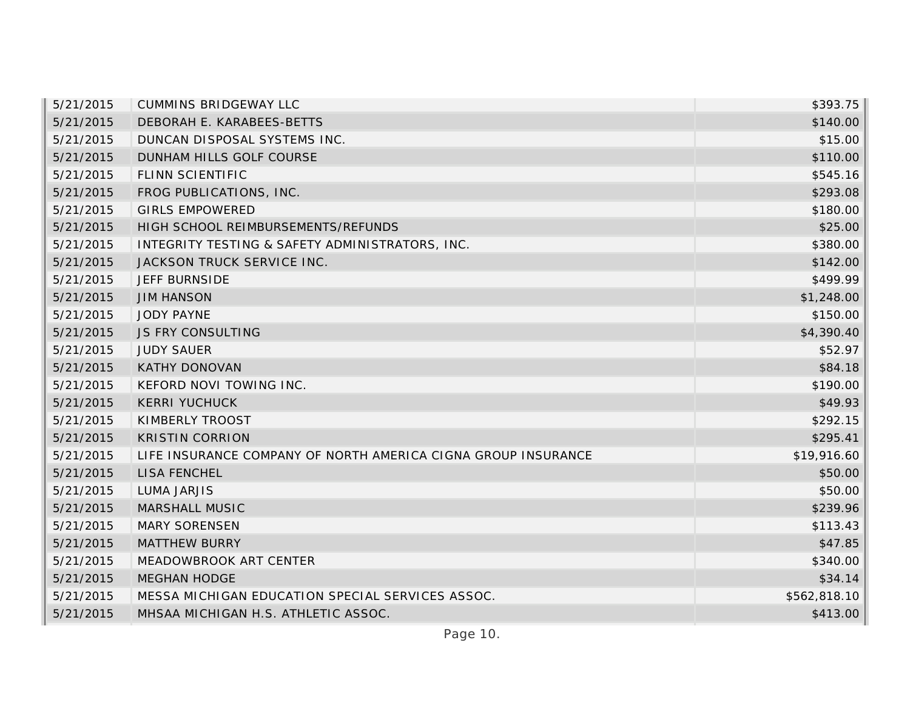| 5/21/2015 | <b>CUMMINS BRIDGEWAY LLC</b>                                  | \$393.75     |
|-----------|---------------------------------------------------------------|--------------|
| 5/21/2015 | DEBORAH E. KARABEES-BETTS                                     | \$140.00     |
| 5/21/2015 | DUNCAN DISPOSAL SYSTEMS INC.                                  | \$15.00      |
| 5/21/2015 | DUNHAM HILLS GOLF COURSE                                      | \$110.00     |
| 5/21/2015 | FLINN SCIENTIFIC                                              | \$545.16     |
| 5/21/2015 | FROG PUBLICATIONS, INC.                                       | \$293.08     |
| 5/21/2015 | <b>GIRLS EMPOWERED</b>                                        | \$180.00     |
| 5/21/2015 | HIGH SCHOOL REIMBURSEMENTS/REFUNDS                            | \$25.00      |
| 5/21/2015 | INTEGRITY TESTING & SAFETY ADMINISTRATORS, INC.               | \$380.00     |
| 5/21/2015 | JACKSON TRUCK SERVICE INC.                                    | \$142.00     |
| 5/21/2015 | JEFF BURNSIDE                                                 | \$499.99     |
| 5/21/2015 | <b>JIM HANSON</b>                                             | \$1,248.00   |
| 5/21/2015 | <b>JODY PAYNE</b>                                             | \$150.00     |
| 5/21/2015 | <b>JS FRY CONSULTING</b>                                      | \$4,390.40   |
| 5/21/2015 | <b>JUDY SAUER</b>                                             | \$52.97      |
| 5/21/2015 | <b>KATHY DONOVAN</b>                                          | \$84.18      |
| 5/21/2015 | KEFORD NOVI TOWING INC.                                       | \$190.00     |
| 5/21/2015 | <b>KERRI YUCHUCK</b>                                          | \$49.93      |
| 5/21/2015 | KIMBERLY TROOST                                               | \$292.15     |
| 5/21/2015 | <b>KRISTIN CORRION</b>                                        | \$295.41     |
| 5/21/2015 | LIFE INSURANCE COMPANY OF NORTH AMERICA CIGNA GROUP INSURANCE | \$19,916.60  |
| 5/21/2015 | <b>LISA FENCHEL</b>                                           | \$50.00      |
| 5/21/2015 | <b>LUMA JARJIS</b>                                            | \$50.00      |
| 5/21/2015 | <b>MARSHALL MUSIC</b>                                         | \$239.96     |
| 5/21/2015 | <b>MARY SORENSEN</b>                                          | \$113.43     |
| 5/21/2015 | <b>MATTHEW BURRY</b>                                          | \$47.85      |
| 5/21/2015 | MEADOWBROOK ART CENTER                                        | \$340.00     |
| 5/21/2015 | <b>MEGHAN HODGE</b>                                           | \$34.14      |
| 5/21/2015 | MESSA MICHIGAN EDUCATION SPECIAL SERVICES ASSOC.              | \$562,818.10 |
| 5/21/2015 | MHSAA MICHIGAN H.S. ATHLETIC ASSOC.                           | \$413.00     |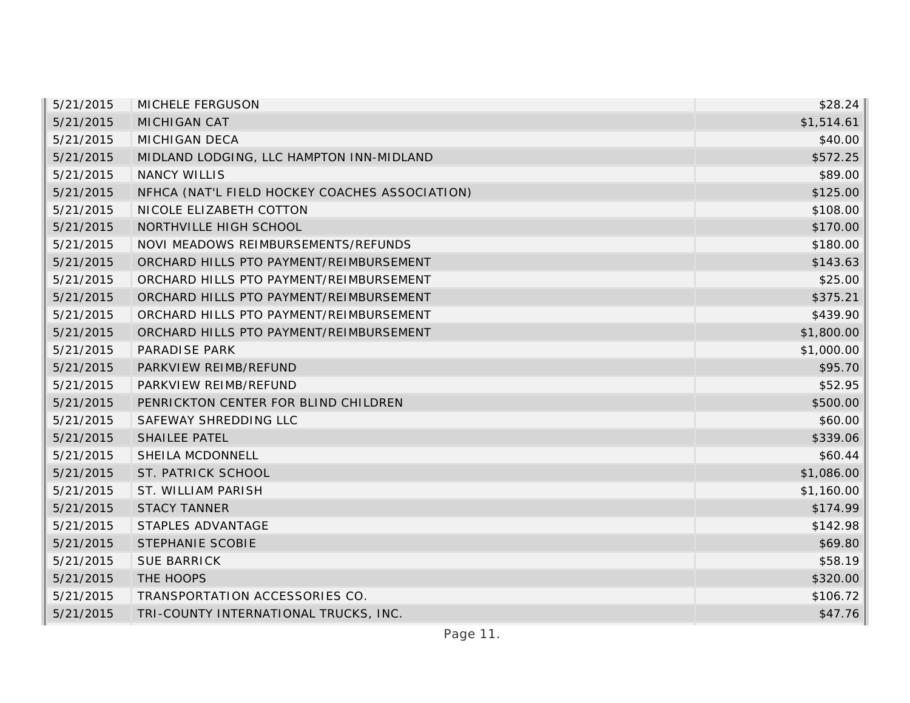| 5/21/2015 | MICHELE FERGUSON                               | \$28.24    |
|-----------|------------------------------------------------|------------|
| 5/21/2015 | MICHIGAN CAT                                   | \$1,514.61 |
| 5/21/2015 | <b>MICHIGAN DECA</b>                           | \$40.00    |
| 5/21/2015 | MIDLAND LODGING, LLC HAMPTON INN-MIDLAND       | \$572.25   |
| 5/21/2015 | <b>NANCY WILLIS</b>                            | \$89.00    |
| 5/21/2015 | NFHCA (NAT'L FIELD HOCKEY COACHES ASSOCIATION) | \$125.00   |
| 5/21/2015 | NICOLE ELIZABETH COTTON                        | \$108.00   |
| 5/21/2015 | NORTHVILLE HIGH SCHOOL                         | \$170.00   |
| 5/21/2015 | NOVI MEADOWS REIMBURSEMENTS/REFUNDS            | \$180.00   |
| 5/21/2015 | ORCHARD HILLS PTO PAYMENT/REIMBURSEMENT        | \$143.63   |
| 5/21/2015 | ORCHARD HILLS PTO PAYMENT/REIMBURSEMENT        | \$25.00    |
| 5/21/2015 | ORCHARD HILLS PTO PAYMENT/REIMBURSEMENT        | \$375.21   |
| 5/21/2015 | ORCHARD HILLS PTO PAYMENT/REIMBURSEMENT        | \$439.90   |
| 5/21/2015 | ORCHARD HILLS PTO PAYMENT/REIMBURSEMENT        | \$1,800.00 |
| 5/21/2015 | PARADISE PARK                                  | \$1,000.00 |
| 5/21/2015 | PARKVIEW REIMB/REFUND                          | \$95.70    |
| 5/21/2015 | PARKVIEW REIMB/REFUND                          | \$52.95    |
| 5/21/2015 | PENRICKTON CENTER FOR BLIND CHILDREN           | \$500.00   |
| 5/21/2015 | SAFEWAY SHREDDING LLC                          | \$60.00    |
| 5/21/2015 | <b>SHAILEE PATEL</b>                           | \$339.06   |
| 5/21/2015 | SHEILA MCDONNELL                               | \$60.44    |
| 5/21/2015 | ST. PATRICK SCHOOL                             | \$1,086.00 |
| 5/21/2015 | ST. WILLIAM PARISH                             | \$1,160.00 |
| 5/21/2015 | <b>STACY TANNER</b>                            | \$174.99   |
| 5/21/2015 | STAPLES ADVANTAGE                              | \$142.98   |
| 5/21/2015 | <b>STEPHANIE SCOBIE</b>                        | \$69.80    |
| 5/21/2015 | <b>SUE BARRICK</b>                             | \$58.19    |
| 5/21/2015 | THE HOOPS                                      | \$320.00   |
| 5/21/2015 | TRANSPORTATION ACCESSORIES CO.                 | \$106.72   |
| 5/21/2015 | TRI-COUNTY INTERNATIONAL TRUCKS, INC.          | \$47.76    |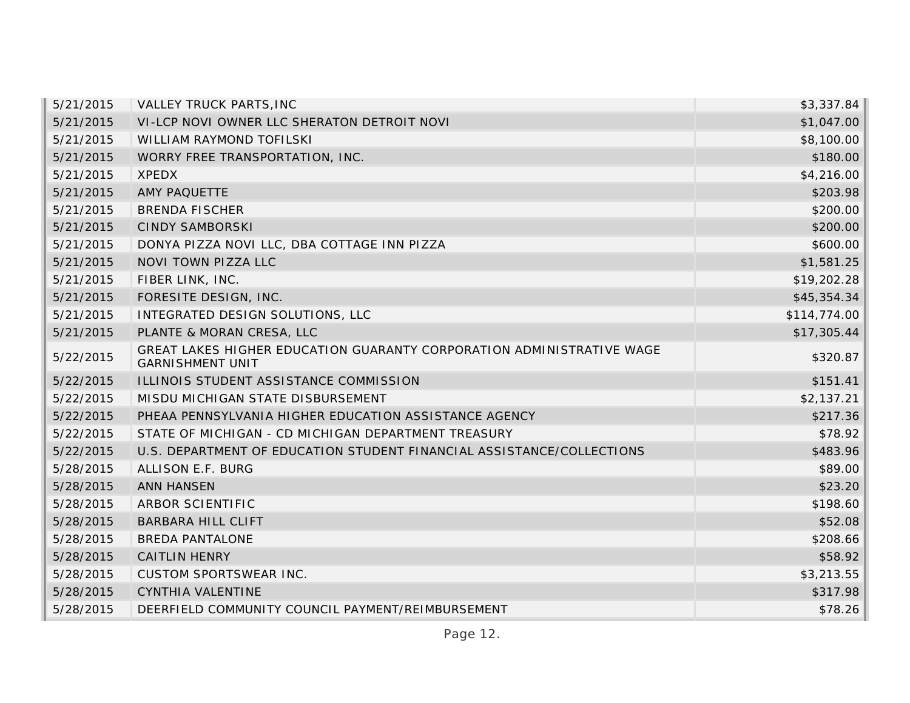| 5/21/2015 | <b>VALLEY TRUCK PARTS, INC</b>                                                                   | \$3,337.84   |
|-----------|--------------------------------------------------------------------------------------------------|--------------|
| 5/21/2015 | VI-LCP NOVI OWNER LLC SHERATON DETROIT NOVI                                                      | \$1,047.00   |
| 5/21/2015 | <b>WILLIAM RAYMOND TOFILSKI</b>                                                                  | \$8,100.00   |
| 5/21/2015 | WORRY FREE TRANSPORTATION, INC.                                                                  | \$180.00     |
| 5/21/2015 | <b>XPEDX</b>                                                                                     | \$4,216.00   |
| 5/21/2015 | AMY PAQUETTE                                                                                     | \$203.98     |
| 5/21/2015 | <b>BRENDA FISCHER</b>                                                                            | \$200.00     |
| 5/21/2015 | <b>CINDY SAMBORSKI</b>                                                                           | \$200.00     |
| 5/21/2015 | DONYA PIZZA NOVI LLC, DBA COTTAGE INN PIZZA                                                      | \$600.00     |
| 5/21/2015 | NOVI TOWN PIZZA LLC                                                                              | \$1,581.25   |
| 5/21/2015 | FIBER LINK, INC.                                                                                 | \$19,202.28  |
| 5/21/2015 | FORESITE DESIGN, INC.                                                                            | \$45,354.34  |
| 5/21/2015 | INTEGRATED DESIGN SOLUTIONS, LLC                                                                 | \$114,774.00 |
| 5/21/2015 | PLANTE & MORAN CRESA, LLC                                                                        | \$17,305.44  |
| 5/22/2015 | GREAT LAKES HIGHER EDUCATION GUARANTY CORPORATION ADMINISTRATIVE WAGE<br><b>GARNISHMENT UNIT</b> | \$320.87     |
| 5/22/2015 | ILLINOIS STUDENT ASSISTANCE COMMISSION                                                           | \$151.41     |
| 5/22/2015 | MISDU MICHIGAN STATE DISBURSEMENT                                                                | \$2,137.21   |
| 5/22/2015 | PHEAA PENNSYLVANIA HIGHER EDUCATION ASSISTANCE AGENCY                                            | \$217.36     |
| 5/22/2015 | STATE OF MICHIGAN - CD MICHIGAN DEPARTMENT TREASURY                                              | \$78.92      |
| 5/22/2015 | U.S. DEPARTMENT OF EDUCATION STUDENT FINANCIAL ASSISTANCE/COLLECTIONS                            | \$483.96     |
| 5/28/2015 | ALLISON E.F. BURG                                                                                | \$89.00      |
| 5/28/2015 | <b>ANN HANSEN</b>                                                                                | \$23.20      |
| 5/28/2015 | ARBOR SCIENTIFIC                                                                                 | \$198.60     |
| 5/28/2015 | <b>BARBARA HILL CLIFT</b>                                                                        | \$52.08      |
| 5/28/2015 | <b>BREDA PANTALONE</b>                                                                           | \$208.66     |
| 5/28/2015 | <b>CAITLIN HENRY</b>                                                                             | \$58.92      |
| 5/28/2015 | <b>CUSTOM SPORTSWEAR INC.</b>                                                                    | \$3,213.55   |
| 5/28/2015 | CYNTHIA VALENTINE                                                                                | \$317.98     |
| 5/28/2015 | DEERFIELD COMMUNITY COUNCIL PAYMENT/REIMBURSEMENT                                                | \$78.26      |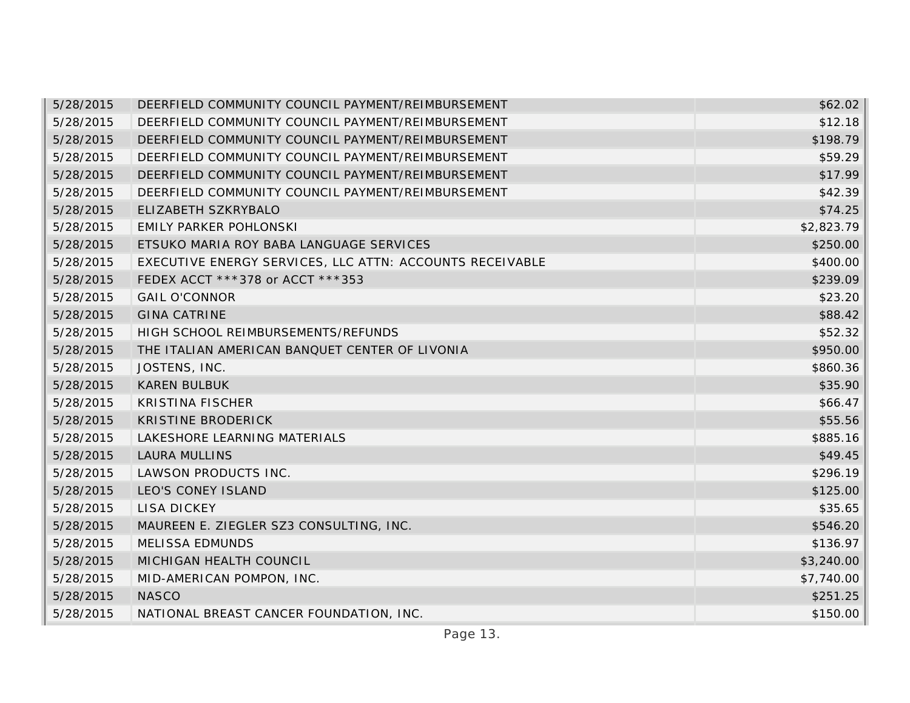| 5/28/2015 | DEERFIELD COMMUNITY COUNCIL PAYMENT/REIMBURSEMENT        | \$62.02    |
|-----------|----------------------------------------------------------|------------|
| 5/28/2015 | DEERFIELD COMMUNITY COUNCIL PAYMENT/REIMBURSEMENT        | \$12.18    |
| 5/28/2015 | DEERFIELD COMMUNITY COUNCIL PAYMENT/REIMBURSEMENT        | \$198.79   |
| 5/28/2015 | DEERFIELD COMMUNITY COUNCIL PAYMENT/REIMBURSEMENT        | \$59.29    |
| 5/28/2015 | DEERFIELD COMMUNITY COUNCIL PAYMENT/REIMBURSEMENT        | \$17.99    |
| 5/28/2015 | DEERFIELD COMMUNITY COUNCIL PAYMENT/REIMBURSEMENT        | \$42.39    |
| 5/28/2015 | ELIZABETH SZKRYBALO                                      | \$74.25    |
| 5/28/2015 | <b>EMILY PARKER POHLONSKI</b>                            | \$2,823.79 |
| 5/28/2015 | ETSUKO MARIA ROY BABA LANGUAGE SERVICES                  | \$250.00   |
| 5/28/2015 | EXECUTIVE ENERGY SERVICES, LLC ATTN: ACCOUNTS RECEIVABLE | \$400.00   |
| 5/28/2015 | FEDEX ACCT ***378 or ACCT ***353                         | \$239.09   |
| 5/28/2015 | <b>GAIL O'CONNOR</b>                                     | \$23.20    |
| 5/28/2015 | <b>GINA CATRINE</b>                                      | \$88.42    |
| 5/28/2015 | HIGH SCHOOL REIMBURSEMENTS/REFUNDS                       | \$52.32    |
| 5/28/2015 | THE ITALIAN AMERICAN BANQUET CENTER OF LIVONIA           | \$950.00   |
| 5/28/2015 | JOSTENS, INC.                                            | \$860.36   |
| 5/28/2015 | <b>KAREN BULBUK</b>                                      | \$35.90    |
| 5/28/2015 | <b>KRISTINA FISCHER</b>                                  | \$66.47    |
| 5/28/2015 | KRISTINE BRODERICK                                       | \$55.56    |
| 5/28/2015 | LAKESHORE LEARNING MATERIALS                             | \$885.16   |
| 5/28/2015 | <b>LAURA MULLINS</b>                                     | \$49.45    |
| 5/28/2015 | LAWSON PRODUCTS INC.                                     | \$296.19   |
| 5/28/2015 | LEO'S CONEY ISLAND                                       | \$125.00   |
| 5/28/2015 | LISA DICKEY                                              | \$35.65    |
| 5/28/2015 | MAUREEN E. ZIEGLER SZ3 CONSULTING, INC.                  | \$546.20   |
| 5/28/2015 | MELISSA EDMUNDS                                          | \$136.97   |
| 5/28/2015 | MICHIGAN HEALTH COUNCIL                                  | \$3,240.00 |
| 5/28/2015 | MID-AMERICAN POMPON, INC.                                | \$7,740.00 |
| 5/28/2015 | <b>NASCO</b>                                             | \$251.25   |
| 5/28/2015 | NATIONAL BREAST CANCER FOUNDATION, INC.                  | \$150.00   |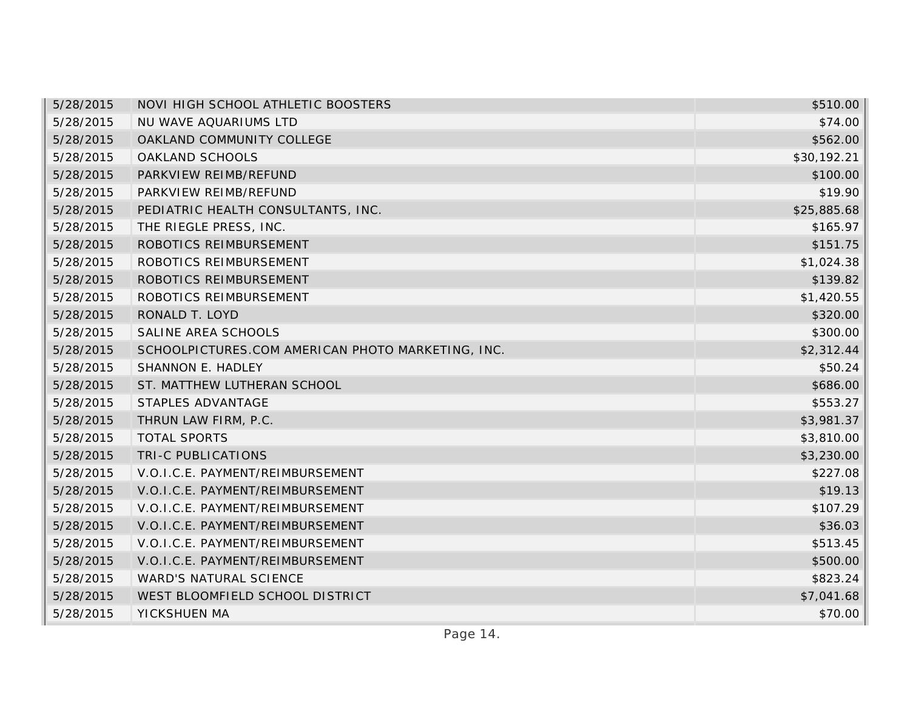| 5/28/2015 | NOVI HIGH SCHOOL ATHLETIC BOOSTERS                | \$510.00    |
|-----------|---------------------------------------------------|-------------|
| 5/28/2015 | NU WAVE AQUARIUMS LTD                             | \$74.00     |
| 5/28/2015 | OAKLAND COMMUNITY COLLEGE                         | \$562.00    |
| 5/28/2015 | OAKLAND SCHOOLS                                   | \$30,192.21 |
| 5/28/2015 | PARKVIEW REIMB/REFUND                             | \$100.00    |
| 5/28/2015 | PARKVIEW REIMB/REFUND                             | \$19.90     |
| 5/28/2015 | PEDIATRIC HEALTH CONSULTANTS, INC.                | \$25,885.68 |
| 5/28/2015 | THE RIEGLE PRESS, INC.                            | \$165.97    |
| 5/28/2015 | ROBOTICS REIMBURSEMENT                            | \$151.75    |
| 5/28/2015 | ROBOTICS REIMBURSEMENT                            | \$1,024.38  |
| 5/28/2015 | ROBOTICS REIMBURSEMENT                            | \$139.82    |
| 5/28/2015 | ROBOTICS REIMBURSEMENT                            | \$1,420.55  |
| 5/28/2015 | RONALD T. LOYD                                    | \$320.00    |
| 5/28/2015 | SALINE AREA SCHOOLS                               | \$300.00    |
| 5/28/2015 | SCHOOLPICTURES.COM AMERICAN PHOTO MARKETING, INC. | \$2,312.44  |
| 5/28/2015 | SHANNON E. HADLEY                                 | \$50.24     |
| 5/28/2015 | ST. MATTHEW LUTHERAN SCHOOL                       | \$686.00    |
| 5/28/2015 | STAPLES ADVANTAGE                                 | \$553.27    |
| 5/28/2015 | THRUN LAW FIRM, P.C.                              | \$3,981.37  |
| 5/28/2015 | <b>TOTAL SPORTS</b>                               | \$3,810.00  |
| 5/28/2015 | TRI-C PUBLICATIONS                                | \$3,230.00  |
| 5/28/2015 | V.O.I.C.E. PAYMENT/REIMBURSEMENT                  | \$227.08    |
| 5/28/2015 | V.O.I.C.E. PAYMENT/REIMBURSEMENT                  | \$19.13     |
| 5/28/2015 | V.O.I.C.E. PAYMENT/REIMBURSEMENT                  | \$107.29    |
| 5/28/2015 | V.O.I.C.E. PAYMENT/REIMBURSEMENT                  | \$36.03     |
| 5/28/2015 | V.O.I.C.E. PAYMENT/REIMBURSEMENT                  | \$513.45    |
| 5/28/2015 | V.O.I.C.E. PAYMENT/REIMBURSEMENT                  | \$500.00    |
| 5/28/2015 | <b>WARD'S NATURAL SCIENCE</b>                     | \$823.24    |
| 5/28/2015 | WEST BLOOMFIELD SCHOOL DISTRICT                   | \$7,041.68  |
| 5/28/2015 | YICKSHUEN MA                                      | \$70.00     |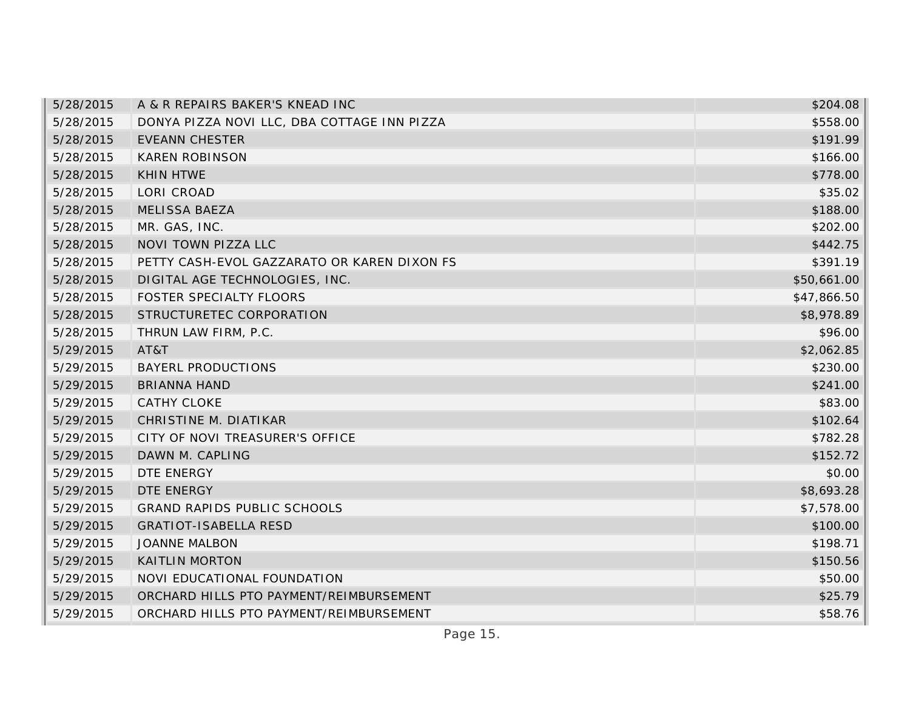| 5/28/2015 | A & R REPAIRS BAKER'S KNEAD INC             | \$204.08    |
|-----------|---------------------------------------------|-------------|
| 5/28/2015 | DONYA PIZZA NOVI LLC, DBA COTTAGE INN PIZZA | \$558.00    |
| 5/28/2015 | <b>EVEANN CHESTER</b>                       | \$191.99    |
| 5/28/2015 | <b>KAREN ROBINSON</b>                       | \$166.00    |
| 5/28/2015 | <b>KHIN HTWE</b>                            | \$778.00    |
| 5/28/2015 | LORI CROAD                                  | \$35.02     |
| 5/28/2015 | <b>MELISSA BAEZA</b>                        | \$188.00    |
| 5/28/2015 | MR. GAS, INC.                               | \$202.00    |
| 5/28/2015 | NOVI TOWN PIZZA LLC                         | \$442.75    |
| 5/28/2015 | PETTY CASH-EVOL GAZZARATO OR KAREN DIXON FS | \$391.19    |
| 5/28/2015 | DIGITAL AGE TECHNOLOGIES, INC.              | \$50,661.00 |
| 5/28/2015 | FOSTER SPECIALTY FLOORS                     | \$47,866.50 |
| 5/28/2015 | STRUCTURETEC CORPORATION                    | \$8,978.89  |
| 5/28/2015 | THRUN LAW FIRM, P.C.                        | \$96.00     |
| 5/29/2015 | AT&T                                        | \$2,062.85  |
| 5/29/2015 | <b>BAYERL PRODUCTIONS</b>                   | \$230.00    |
| 5/29/2015 | <b>BRIANNA HAND</b>                         | \$241.00    |
| 5/29/2015 | CATHY CLOKE                                 | \$83.00     |
| 5/29/2015 | CHRISTINE M. DIATIKAR                       | \$102.64    |
| 5/29/2015 | CITY OF NOVI TREASURER'S OFFICE             | \$782.28    |
| 5/29/2015 | DAWN M. CAPLING                             | \$152.72    |
| 5/29/2015 | DTE ENERGY                                  | \$0.00      |
| 5/29/2015 | DTE ENERGY                                  | \$8,693.28  |
| 5/29/2015 | <b>GRAND RAPIDS PUBLIC SCHOOLS</b>          | \$7,578.00  |
| 5/29/2015 | <b>GRATIOT-ISABELLA RESD</b>                | \$100.00    |
| 5/29/2015 | <b>JOANNE MALBON</b>                        | \$198.71    |
| 5/29/2015 | <b>KAITLIN MORTON</b>                       | \$150.56    |
| 5/29/2015 | NOVI EDUCATIONAL FOUNDATION                 | \$50.00     |
| 5/29/2015 | ORCHARD HILLS PTO PAYMENT/REIMBURSEMENT     | \$25.79     |
| 5/29/2015 | ORCHARD HILLS PTO PAYMENT/REIMBURSEMENT     | \$58.76     |